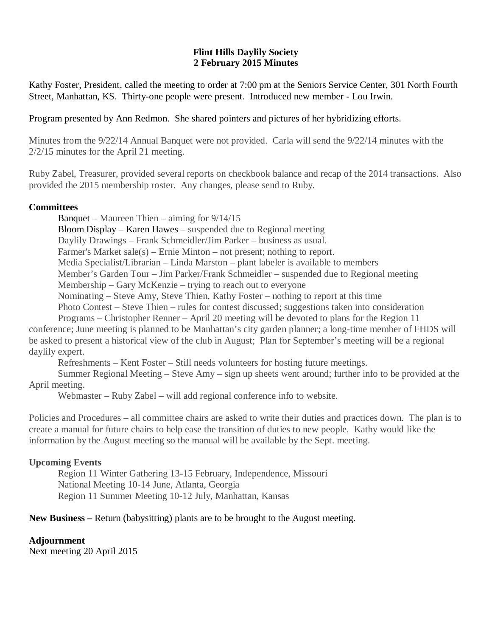## **Flint Hills Daylily Society 2 February 2015 Minutes**

Kathy Foster, President, called the meeting to order at 7:00 pm at the Seniors Service Center, 301 North Fourth Street, Manhattan, KS. Thirty-one people were present. Introduced new member - Lou Irwin.

## Program presented by Ann Redmon. She shared pointers and pictures of her hybridizing efforts.

Minutes from the 9/22/14 Annual Banquet were not provided. Carla will send the 9/22/14 minutes with the 2/2/15 minutes for the April 21 meeting.

Ruby Zabel, Treasurer, provided several reports on checkbook balance and recap of the 2014 transactions. Also provided the 2015 membership roster. Any changes, please send to Ruby.

## **Committees**

Banquet – Maureen Thien – aiming for 9/14/15 Bloom Display – Karen Hawes – suspended due to Regional meeting Daylily Drawings – Frank Schmeidler/Jim Parker – business as usual. Farmer's Market sale(s) – Ernie Minton – not present; nothing to report. Media Specialist/Librarian – Linda Marston – plant labeler is available to members Member's Garden Tour – Jim Parker/Frank Schmeidler – suspended due to Regional meeting Membership – Gary McKenzie – trying to reach out to everyone Nominating – Steve Amy, Steve Thien, Kathy Foster – nothing to report at this time Photo Contest – Steve Thien – rules for contest discussed; suggestions taken into consideration Programs – Christopher Renner – April 20 meeting will be devoted to plans for the Region 11

conference; June meeting is planned to be Manhattan's city garden planner; a long-time member of FHDS will be asked to present a historical view of the club in August; Plan for September's meeting will be a regional daylily expert.

Refreshments – Kent Foster – Still needs volunteers for hosting future meetings.

Summer Regional Meeting – Steve Amy – sign up sheets went around; further info to be provided at the April meeting.

Webmaster – Ruby Zabel – will add regional conference info to website.

Policies and Procedures – all committee chairs are asked to write their duties and practices down. The plan is to create a manual for future chairs to help ease the transition of duties to new people. Kathy would like the information by the August meeting so the manual will be available by the Sept. meeting.

## **Upcoming Events**

Region 11 Winter Gathering 13-15 February, Independence, Missouri National Meeting 10-14 June, Atlanta, Georgia Region 11 Summer Meeting 10-12 July, Manhattan, Kansas

## **New Business –** Return (babysitting) plants are to be brought to the August meeting.

## **Adjournment**

Next meeting 20 April 2015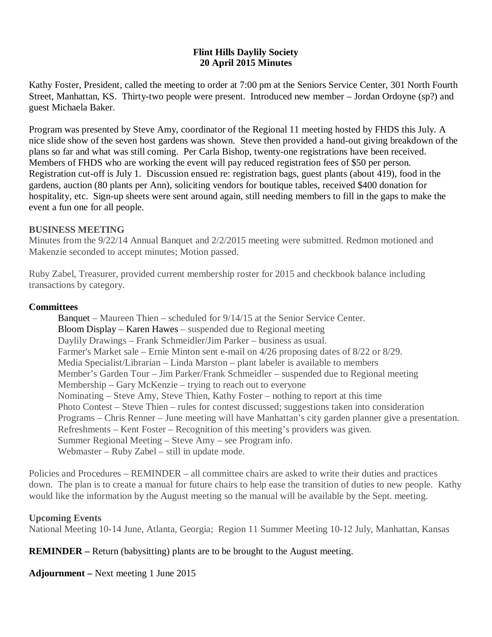## **Flint Hills Daylily Society 20 April 2015 Minutes**

Kathy Foster, President, called the meeting to order at 7:00 pm at the Seniors Service Center, 301 North Fourth Street, Manhattan, KS. Thirty-two people were present. Introduced new member – Jordan Ordoyne (sp?) and guest Michaela Baker.

Program was presented by Steve Amy, coordinator of the Regional 11 meeting hosted by FHDS this July. A nice slide show of the seven host gardens was shown. Steve then provided a hand-out giving breakdown of the plans so far and what was still coming. Per Carla Bishop, twenty-one registrations have been received. Members of FHDS who are working the event will pay reduced registration fees of \$50 per person. Registration cut-off is July 1. Discussion ensued re: registration bags, guest plants (about 419), food in the gardens, auction (80 plants per Ann), soliciting vendors for boutique tables, received \$400 donation for hospitality, etc. Sign-up sheets were sent around again, still needing members to fill in the gaps to make the event a fun one for all people.

## **BUSINESS MEETING**

Minutes from the 9/22/14 Annual Banquet and 2/2/2015 meeting were submitted. Redmon motioned and Makenzie seconded to accept minutes; Motion passed.

Ruby Zabel, Treasurer, provided current membership roster for 2015 and checkbook balance including transactions by category.

## **Committees**

Banquet – Maureen Thien – scheduled for 9/14/15 at the Senior Service Center. Bloom Display – Karen Hawes – suspended due to Regional meeting Daylily Drawings – Frank Schmeidler/Jim Parker – business as usual. Farmer's Market sale – Ernie Minton sent e-mail on 4/26 proposing dates of 8/22 or 8/29. Media Specialist/Librarian – Linda Marston – plant labeler is available to members Member's Garden Tour – Jim Parker/Frank Schmeidler – suspended due to Regional meeting Membership – Gary McKenzie – trying to reach out to everyone Nominating – Steve Amy, Steve Thien, Kathy Foster – nothing to report at this time Photo Contest – Steve Thien – rules for contest discussed; suggestions taken into consideration Programs – Chris Renner – June meeting will have Manhattan's city garden planner give a presentation. Refreshments – Kent Foster – Recognition of this meeting's providers was given. Summer Regional Meeting – Steve Amy – see Program info. Webmaster – Ruby Zabel – still in update mode.

Policies and Procedures – REMINDER – all committee chairs are asked to write their duties and practices down. The plan is to create a manual for future chairs to help ease the transition of duties to new people. Kathy would like the information by the August meeting so the manual will be available by the Sept. meeting.

## **Upcoming Events**

National Meeting 10-14 June, Atlanta, Georgia; Region 11 Summer Meeting 10-12 July, Manhattan, Kansas

# **REMINDER –** Return (babysitting) plants are to be brought to the August meeting.

**Adjournment –** Next meeting 1 June 2015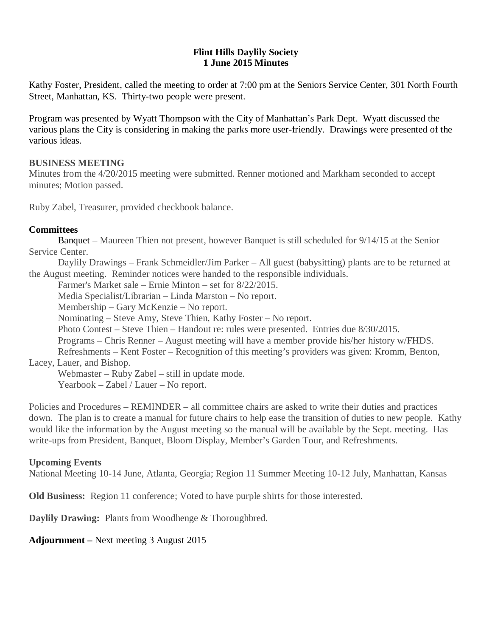## **Flint Hills Daylily Society 1 June 2015 Minutes**

Kathy Foster, President, called the meeting to order at 7:00 pm at the Seniors Service Center, 301 North Fourth Street, Manhattan, KS. Thirty-two people were present.

Program was presented by Wyatt Thompson with the City of Manhattan's Park Dept. Wyatt discussed the various plans the City is considering in making the parks more user-friendly. Drawings were presented of the various ideas.

## **BUSINESS MEETING**

Minutes from the 4/20/2015 meeting were submitted. Renner motioned and Markham seconded to accept minutes; Motion passed.

Ruby Zabel, Treasurer, provided checkbook balance.

## **Committees**

Banquet – Maureen Thien not present, however Banquet is still scheduled for 9/14/15 at the Senior Service Center.

Daylily Drawings – Frank Schmeidler/Jim Parker – All guest (babysitting) plants are to be returned at the August meeting. Reminder notices were handed to the responsible individuals.

Farmer's Market sale – Ernie Minton – set for 8/22/2015.

Media Specialist/Librarian – Linda Marston – No report.

Membership – Gary McKenzie – No report.

Nominating – Steve Amy, Steve Thien, Kathy Foster – No report.

Photo Contest – Steve Thien – Handout re: rules were presented. Entries due 8/30/2015.

Programs – Chris Renner – August meeting will have a member provide his/her history w/FHDS.

Refreshments – Kent Foster – Recognition of this meeting's providers was given: Kromm, Benton,

# Lacey, Lauer, and Bishop.

Webmaster – Ruby Zabel – still in update mode.

Yearbook – Zabel / Lauer – No report.

Policies and Procedures – REMINDER – all committee chairs are asked to write their duties and practices down. The plan is to create a manual for future chairs to help ease the transition of duties to new people. Kathy would like the information by the August meeting so the manual will be available by the Sept. meeting. Has write-ups from President, Banquet, Bloom Display, Member's Garden Tour, and Refreshments.

# **Upcoming Events**

National Meeting 10-14 June, Atlanta, Georgia; Region 11 Summer Meeting 10-12 July, Manhattan, Kansas

**Old Business:** Region 11 conference; Voted to have purple shirts for those interested.

**Daylily Drawing:** Plants from Woodhenge & Thoroughbred.

**Adjournment –** Next meeting 3 August 2015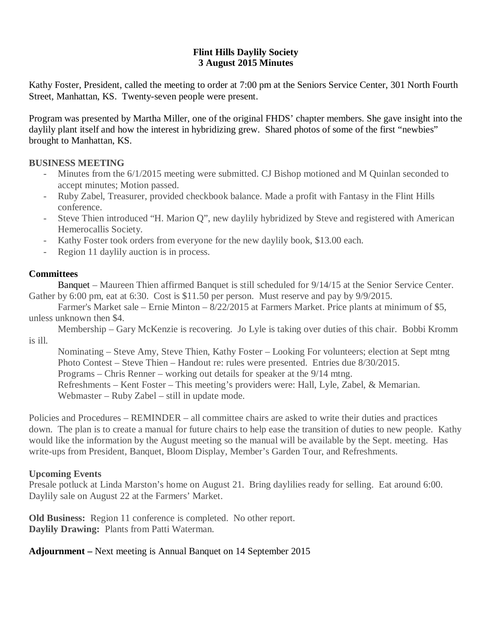# **Flint Hills Daylily Society 3 August 2015 Minutes**

Kathy Foster, President, called the meeting to order at 7:00 pm at the Seniors Service Center, 301 North Fourth Street, Manhattan, KS. Twenty-seven people were present.

Program was presented by Martha Miller, one of the original FHDS' chapter members. She gave insight into the daylily plant itself and how the interest in hybridizing grew. Shared photos of some of the first "newbies" brought to Manhattan, KS.

# **BUSINESS MEETING**

- Minutes from the  $6/1/2015$  meeting were submitted. CJ Bishop motioned and M Quinlan seconded to accept minutes; Motion passed.
- Ruby Zabel, Treasurer, provided checkbook balance. Made a profit with Fantasy in the Flint Hills conference.
- Steve Thien introduced "H. Marion Q", new daylily hybridized by Steve and registered with American Hemerocallis Society.
- Kathy Foster took orders from everyone for the new daylily book, \$13.00 each.
- Region 11 daylily auction is in process.

# **Committees**

Banquet – Maureen Thien affirmed Banquet is still scheduled for 9/14/15 at the Senior Service Center. Gather by 6:00 pm, eat at 6:30. Cost is \$11.50 per person. Must reserve and pay by 9/9/2015.

Farmer's Market sale – Ernie Minton – 8/22/2015 at Farmers Market. Price plants at minimum of \$5, unless unknown then \$4.

Membership – Gary McKenzie is recovering. Jo Lyle is taking over duties of this chair. Bobbi Kromm is ill.

Nominating – Steve Amy, Steve Thien, Kathy Foster – Looking For volunteers; election at Sept mtng Photo Contest – Steve Thien – Handout re: rules were presented. Entries due 8/30/2015. Programs – Chris Renner – working out details for speaker at the 9/14 mtng. Refreshments – Kent Foster – This meeting's providers were: Hall, Lyle, Zabel, & Memarian. Webmaster – Ruby Zabel – still in update mode.

Policies and Procedures – REMINDER – all committee chairs are asked to write their duties and practices down. The plan is to create a manual for future chairs to help ease the transition of duties to new people. Kathy would like the information by the August meeting so the manual will be available by the Sept. meeting. Has write-ups from President, Banquet, Bloom Display, Member's Garden Tour, and Refreshments.

# **Upcoming Events**

Presale potluck at Linda Marston's home on August 21. Bring daylilies ready for selling. Eat around 6:00. Daylily sale on August 22 at the Farmers' Market.

**Old Business:** Region 11 conference is completed. No other report. **Daylily Drawing:** Plants from Patti Waterman.

# **Adjournment –** Next meeting is Annual Banquet on 14 September 2015